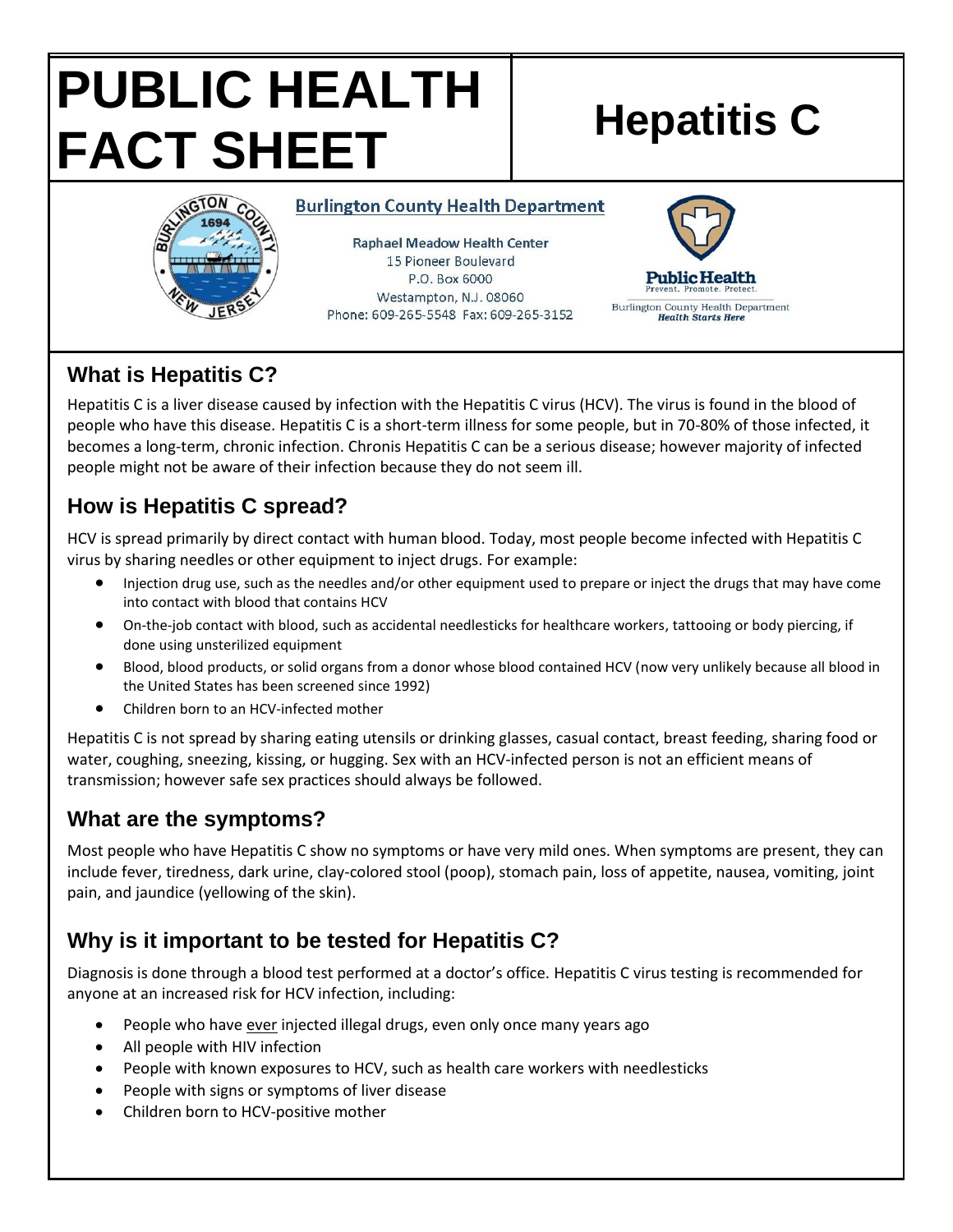# **PUBLIC HEALTH FACT SHEET** Hepatitis C



**Burlington County Health Department** 

**Raphael Meadow Health Center** 15 Pioneer Boulevard P.O. Box 6000 Westampton, N.J. 08060 Phone: 609-265-5548 Fax: 609-265-3152



# **What is Hepatitis C?**

Hepatitis C is a liver disease caused by infection with the Hepatitis C virus (HCV). The virus is found in the blood of people who have this disease. Hepatitis C is a short-term illness for some people, but in 70-80% of those infected, it becomes a long-term, chronic infection. Chronis Hepatitis C can be a serious disease; however majority of infected people might not be aware of their infection because they do not seem ill.

# **How is Hepatitis C spread?**

HCV is spread primarily by direct contact with human blood. Today, most people become infected with Hepatitis C virus by sharing needles or other equipment to inject drugs. For example:

- Injection drug use, such as the needles and/or other equipment used to prepare or inject the drugs that may have come into contact with blood that contains HCV
- On-the-job contact with blood, such as accidental needlesticks for healthcare workers, tattooing or body piercing, if done using unsterilized equipment
- Blood, blood products, or solid organs from a donor whose blood contained HCV (now very unlikely because all blood in the United States has been screened since 1992)
- Children born to an HCV-infected mother

Hepatitis C is not spread by sharing eating utensils or drinking glasses, casual contact, breast feeding, sharing food or water, coughing, sneezing, kissing, or hugging. Sex with an HCV-infected person is not an efficient means of transmission; however safe sex practices should always be followed.

## **What are the symptoms?**

Most people who have Hepatitis C show no symptoms or have very mild ones. When symptoms are present, they can include fever, tiredness, dark urine, clay-colored stool (poop), stomach pain, loss of appetite, nausea, vomiting, joint pain, and jaundice (yellowing of the skin).

# **Why is it important to be tested for Hepatitis C?**

Diagnosis is done through a blood test performed at a doctor's office. Hepatitis C virus testing is recommended for anyone at an increased risk for HCV infection, including:

- People who have ever injected illegal drugs, even only once many years ago
- All people with HIV infection
- People with known exposures to HCV, such as health care workers with needlesticks
- People with signs or symptoms of liver disease
- Children born to HCV-positive mother